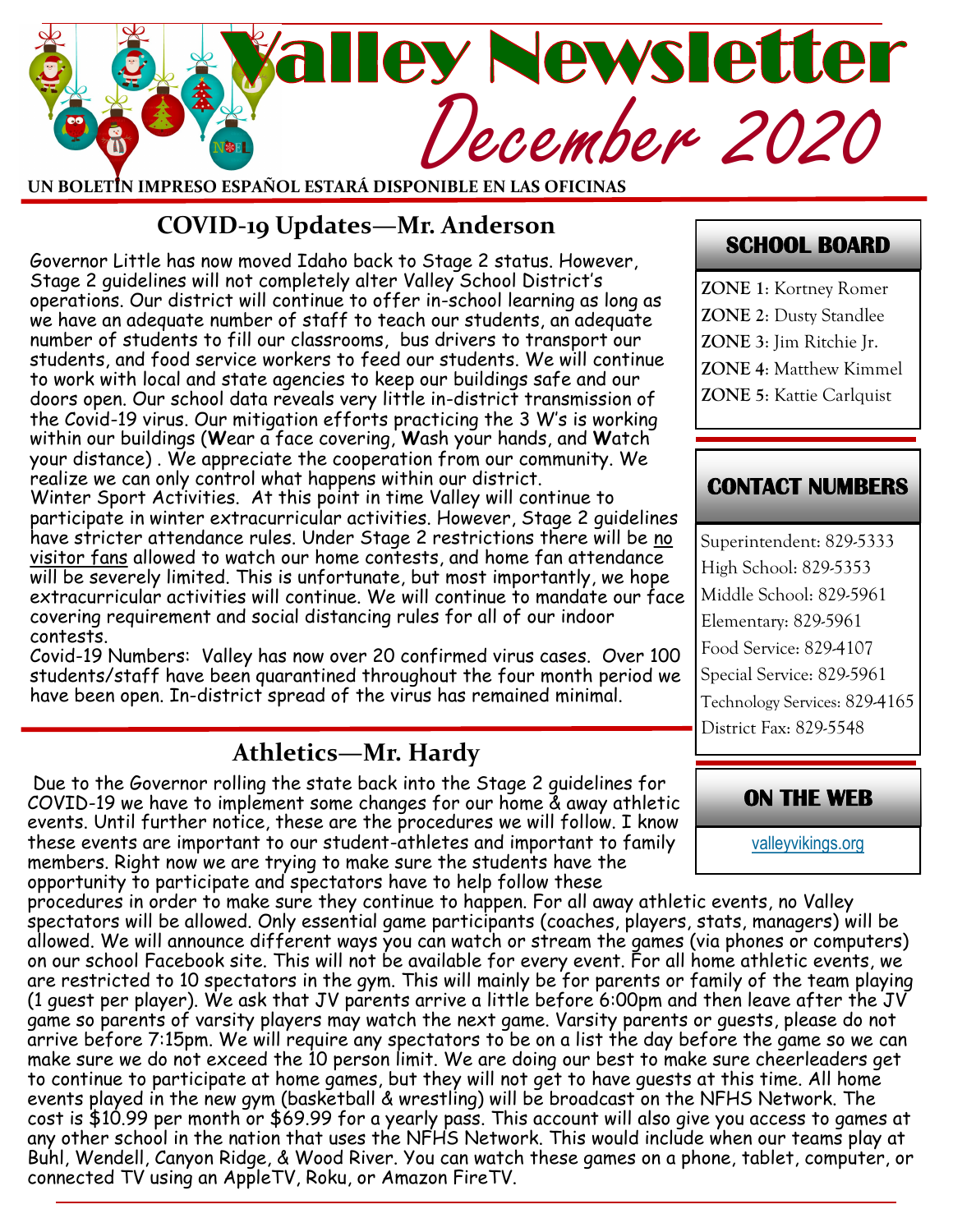# Mey Newsletter<br>December 2020

**UN BOLETÍN IMPRESO ESPAÑOL ESTARÁ DISPONIBLE EN LAS OFICINAS**

## **COVID-19 Updates—Mr. Anderson**

Governor Little has now moved Idaho back to Stage 2 status. However, Stage 2 guidelines will not completely alter Valley School District's operations. Our district will continue to offer in-school learning as long as we have an adequate number of staff to teach our students, an adequate number of students to fill our classrooms, bus drivers to transport our students, and food service workers to feed our students. We will continue to work with local and state agencies to keep our buildings safe and our doors open. Our school data reveals very little in-district transmission of the Covid-19 virus. Our mitigation efforts practicing the 3 W's is working within our buildings (**W**ear a face covering, **W**ash your hands, and **W**atch your distance) . We appreciate the cooperation from our community. We realize we can only control what happens within our district. Winter Sport Activities. At this point in time Valley will continue to

participate in winter extracurricular activities. However, Stage 2 guidelines have stricter attendance rules. Under Stage 2 restrictions there will be no visitor fans allowed to watch our home contests, and home fan attendance will be severely limited. This is unfortunate, but most importantly, we hope extracurricular activities will continue. We will continue to mandate our face covering requirement and social distancing rules for all of our indoor contests.

Covid-19 Numbers: Valley has now over 20 confirmed virus cases. Over 100 students/staff have been quarantined throughout the four month period we have been open. In-district spread of the virus has remained minimal.

# **Athletics—Mr. Hardy**

Due to the Governor rolling the state back into the Stage 2 guidelines for COVID-19 we have to implement some changes for our home & away athletic events. Until further notice, these are the procedures we will follow. I know these events are important to our student-athletes and important to family members. Right now we are trying to make sure the students have the opportunity to participate and spectators have to help follow these

procedures in order to make sure they continue to happen. For all away athletic events, no Valley spectators will be allowed. Only essential game participants (coaches, players, stats, managers) will be allowed. We will announce different ways you can watch or stream the games (via phones or computers) on our school Facebook site. This will not be available for every event. For all home athletic events, we are restricted to 10 spectators in the gym. This will mainly be for parents or family of the team playing (1 guest per player). We ask that JV parents arrive a little before 6:00pm and then leave after the JV game so parents of varsity players may watch the next game. Varsity parents or guests, please do not arrive before 7:15pm. We will require any spectators to be on a list the day before the game so we can make sure we do not exceed the 10 person limit. We are doing our best to make sure cheerleaders get to continue to participate at home games, but they will not get to have guests at this time. All home events played in the new gym (basketball & wrestling) will be broadcast on the NFHS Network. The cost is \$10.99 per month or \$69.99 for a yearly pass. This account will also give you access to games at any other school in the nation that uses the NFHS Network. This would include when our teams play at Buhl, Wendell, Canyon Ridge, & Wood River. You can watch these games on a phone, tablet, computer, or connected TV using an AppleTV, Roku, or Amazon FireTV.

#### **SCHOOL BOARD**

**ZONE 1**: Kortney Romer **ZONE 2**: Dusty Standlee **ZONE 3**: Jim Ritchie Jr. **ZONE 4**: Matthew Kimmel **ZONE 5**: Kattie Carlquist

#### **CONTACT NUMBERS**

Superintendent: 829-5333 High School: 829-5353 Middle School: 829-5961 Elementary: 829-5961 Food Service: 829-4107 Special Service: 829-5961 Technology Services: 829-4165 District Fax: 829-5548



[valleyvikings.org](http://www.valleyvikings.org/)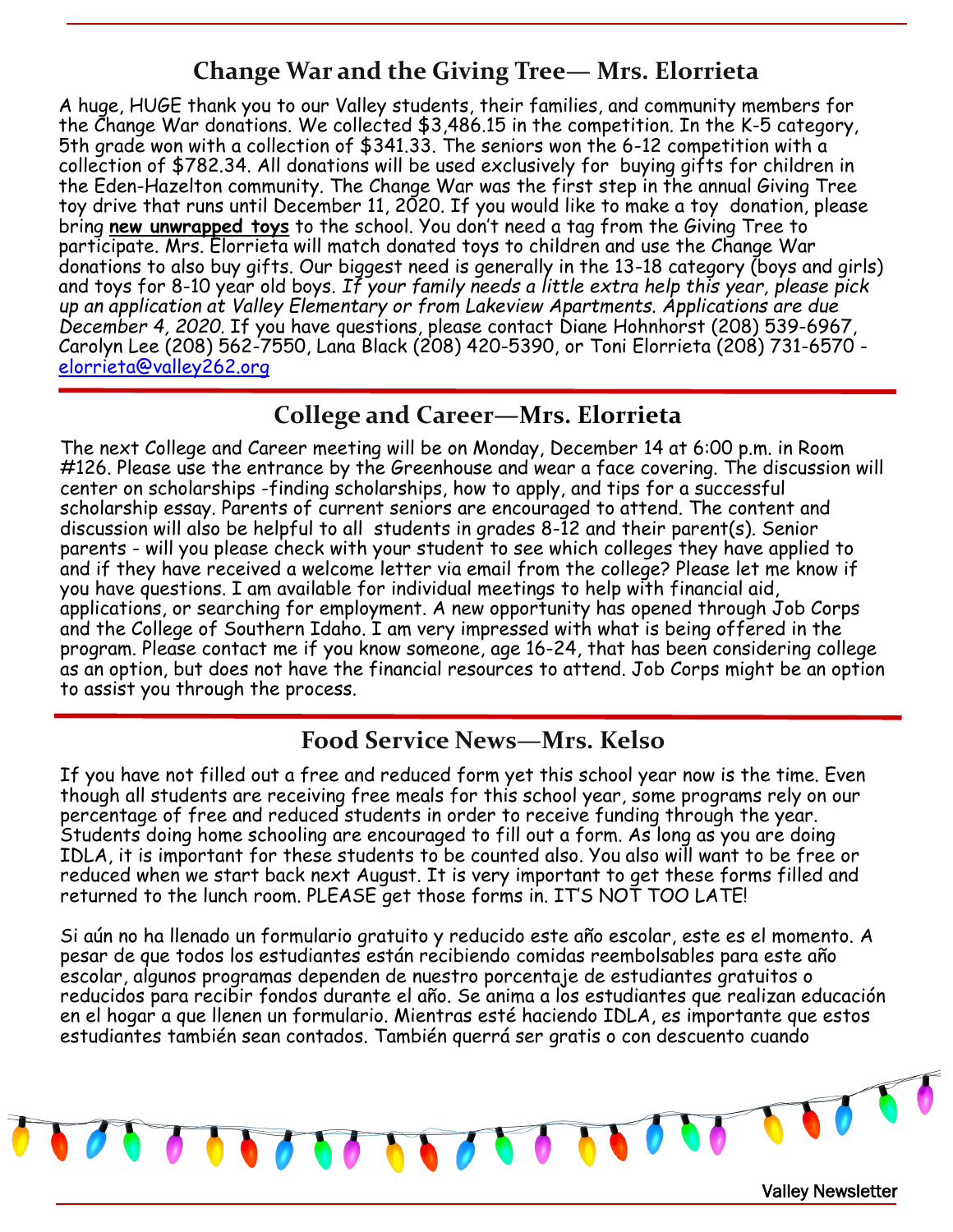## **Change War and the Giving Tree— Mrs. Elorrieta**

A huge, HUGE thank you to our Valley students, their families, and community members for the Change War donations. We collected \$3,486.15 in the competition. In the K-5 category, 5th grade won with a collection of \$341.33. The seniors won the 6-12 competition with a collection of \$782.34. All donations will be used exclusively for buying gifts for children in the Eden-Hazelton community. The Change War was the first step in the annual Giving Tree toy drive that runs until December 11, 2020. If you would like to make a toy donation, please bring **new unwrapped toys** to the school. You don't need a tag from the Giving Tree to participate. Mrs. Elorrieta will match donated toys to children and use the Change War donations to also buy gifts. Our biggest need is generally in the 13-18 category (boys and girls) and toys for 8-10 year old boys. *If your family needs a little extra help this year, please pick up an application at Valley Elementary or from Lakeview Apartments. Applications are due December 4, 2020.* If you have questions, please contact Diane Hohnhorst (208) 539-6967, Carolyn Lee (208) 562-7550, Lana Black (208) 420-5390, or Toni Elorrieta (208) 731-6570 [elorrieta@valley262.org](mailto:elorrieta@valley262.org)

#### **College and Career—Mrs. Elorrieta**

The next College and Career meeting will be on Monday, December 14 at 6:00 p.m. in Room #126. Please use the entrance by the Greenhouse and wear a face covering. The discussion will center on scholarships -finding scholarships, how to apply, and tips for a successful scholarship essay. Parents of current seniors are encouraged to attend. The content and discussion will also be helpful to all students in grades 8-12 and their parent(s). Senior parents - will you please check with your student to see which colleges they have applied to and if they have received a welcome letter via email from the college? Please let me know if you have questions. I am available for individual meetings to help with financial aid, applications, or searching for employment. A new opportunity has opened through Job Corps and the College of Southern Idaho. I am very impressed with what is being offered in the program. Please contact me if you know someone, age 16-24, that has been considering college as an option, but does not have the financial resources to attend. Job Corps might be an option to assist you through the process.

#### **Food Service News—Mrs. Kelso**

If you have not filled out a free and reduced form yet this school year now is the time. Even though all students are receiving free meals for this school year, some programs rely on our percentage of free and reduced students in order to receive funding through the year. Students doing home schooling are encouraged to fill out a form. As long as you are doing IDLA, it is important for these students to be counted also. You also will want to be free or reduced when we start back next August. It is very important to get these forms filled and returned to the lunch room. PLEASE get those forms in. IT'S NOT TOO LATE!

Si aún no ha llenado un formulario gratuito y reducido este año escolar, este es el momento. A pesar de que todos los estudiantes están recibiendo comidas reembolsables para este año escolar, algunos programas dependen de nuestro porcentaje de estudiantes gratuitos o reducidos para recibir fondos durante el año. Se anima a los estudiantes que realizan educación en el hogar a que llenen un formulario. Mientras esté haciendo IDLA, es importante que estos estudiantes también sean contados. También querrá ser gratis o con descuento cuando

Valley Newsletter